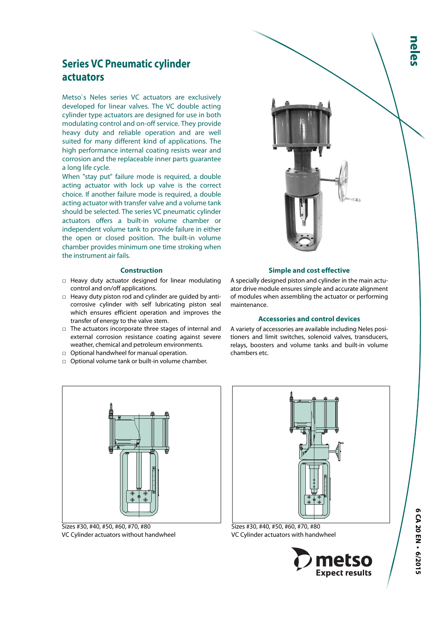# **Series VC Pneumatic cylinder actuators**

Metso`s Neles series VC actuators are exclusively developed for linear valves. The VC double acting cylinder type actuators are designed for use in both modulating control and on-off service. They provide heavy duty and reliable operation and are well suited for many different kind of applications. The high performance internal coating resists wear and corrosion and the replaceable inner parts guarantee a long life cycle.

When "stay put" failure mode is required, a double acting actuator with lock up valve is the correct choice. If another failure mode is required, a double acting actuator with transfer valve and a volume tank should be selected. The series VC pneumatic cylinder actuators offers a built-in volume chamber or independent volume tank to provide failure in either the open or closed position. The built-in volume chamber provides minimum one time stroking when the instrument air fails.

## **Construction**

- □ Heavy duty actuator designed for linear modulating control and on/off applications.
- □ Heavy duty piston rod and cylinder are guided by anticorrosive cylinder with self lubricating piston seal which ensures efficient operation and improves the transfer of energy to the valve stem.
- □ The actuators incorporate three stages of internal and external corrosion resistance coating against severe weather, chemical and petroleum environments.
- □ Optional handwheel for manual operation.
- □ Optional volume tank or built-in volume chamber.



## **Simple and cost effective**

A specially designed piston and cylinder in the main actuator drive module ensures simple and accurate alignment of modules when assembling the actuator or performing maintenance.

#### **Accessories and control devices**

A variety of accessories are available including Neles positioners and limit switches, solenoid valves, transducers, relays, boosters and volume tanks and built-in volume chambers etc.



Sizes #30, #40, #50, #60, #70, #80 VC Cylinder actuators without handwheel



Sizes #30, #40, #50, #60, #70, #80 VC Cylinder actuators with handwheel

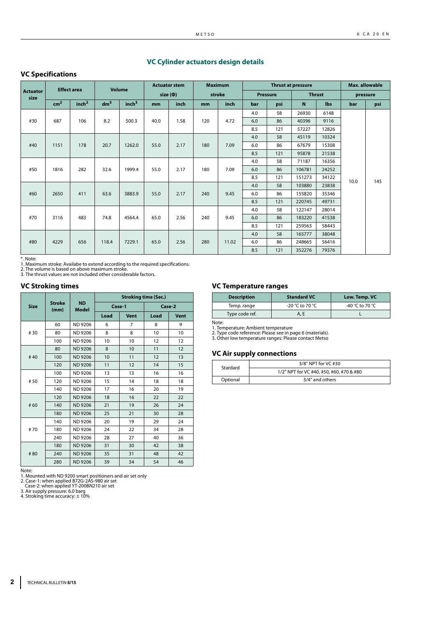## **VC Cylinder actuators design details**

## **VC Specifications**

|                         | <b>Effect area</b> |                   |                 | <b>Volume</b>     |      | <b>Actuator stem</b> |             | <b>Maximum</b> |     |                 | <b>Thrust at pressure</b> |       | Max. allowable |      |  |  |  |       |     |    |        |       |  |  |
|-------------------------|--------------------|-------------------|-----------------|-------------------|------|----------------------|-------------|----------------|-----|-----------------|---------------------------|-------|----------------|------|--|--|--|-------|-----|----|--------|-------|--|--|
| <b>Actuator</b><br>size |                    |                   |                 |                   |      | $size$ ( $\Phi$ )    |             | stroke         |     | <b>Pressure</b> | <b>Thrust</b>             |       | pressure       |      |  |  |  |       |     |    |        |       |  |  |
|                         | cm <sup>2</sup>    | inch <sup>2</sup> | dm <sup>3</sup> | inch <sup>3</sup> | mm   | inch                 | mm          | inch           | bar | psi             | N                         | lbs   | bar            | psi  |  |  |  |       |     |    |        |       |  |  |
|                         |                    |                   |                 |                   |      |                      |             |                | 4.0 | 58              | 26930                     | 6148  |                |      |  |  |  |       |     |    |        |       |  |  |
| #30                     | 687                | 106               | 8.2             | 500.3             | 40.0 | 1.58                 | 120         | 4.72           |     |                 | 6.0                       | 86    | 40396          | 9116 |  |  |  |       |     |    |        |       |  |  |
|                         |                    |                   |                 |                   |      |                      |             |                | 8.5 | 121             | 57227                     | 12826 |                |      |  |  |  |       |     |    |        |       |  |  |
|                         |                    |                   |                 |                   |      |                      |             |                | 4.0 | 58              | 45119                     | 10324 |                |      |  |  |  |       |     |    |        |       |  |  |
| #40                     | 1151               | 178               | 20.7            | 1262.0            | 55.0 | 2.17                 | 180         | 7.09           | 6.0 | 86              | 67679                     | 15308 |                |      |  |  |  |       |     |    |        |       |  |  |
|                         |                    |                   |                 |                   |      |                      |             |                | 8.5 | 121             | 95878                     | 21538 |                |      |  |  |  |       |     |    |        |       |  |  |
|                         |                    |                   |                 |                   |      |                      | 180<br>7.09 |                | 4.0 | 58              | 71187                     | 16356 |                |      |  |  |  |       |     |    |        |       |  |  |
| #50                     | 1816               | 282               | 32.6            | 1999.4            | 55.0 | 2.17                 |             |                | 6.0 | 86              | 106781                    | 24252 |                |      |  |  |  |       |     |    |        |       |  |  |
|                         |                    |                   |                 |                   |      |                      |             |                | 8.5 | 121             | 151273                    | 34122 | 10.0           | 145  |  |  |  |       |     |    |        |       |  |  |
|                         |                    |                   |                 |                   |      |                      |             |                | 4.0 | 58              | 103880                    | 23838 |                |      |  |  |  |       |     |    |        |       |  |  |
| #60                     | 2650               | 411               | 63.6            | 3883.9            | 55.0 | 2.17                 | 240         | 9.45           | 6.0 | 86              | 155820                    | 35346 |                |      |  |  |  |       |     |    |        |       |  |  |
|                         |                    |                   |                 |                   |      |                      |             |                | 8.5 | 121             | 220745                    | 49731 |                |      |  |  |  |       |     |    |        |       |  |  |
|                         |                    |                   |                 |                   |      |                      |             |                | 4.0 | 58              | 122147                    | 28014 |                |      |  |  |  |       |     |    |        |       |  |  |
| #70                     | 3116               | 483               | 74.8            | 4564.4            | 65.0 | 2.56                 | 240         | 9.45           | 6.0 | 86              | 183220                    | 41538 |                |      |  |  |  |       |     |    |        |       |  |  |
|                         |                    |                   |                 |                   |      |                      |             |                | 8.5 | 121             | 259563                    | 58443 |                |      |  |  |  |       |     |    |        |       |  |  |
|                         |                    |                   |                 |                   |      |                      |             |                | 4.0 | 58              | 165777                    | 38048 |                |      |  |  |  |       |     |    |        |       |  |  |
| #80                     | 4229               | 656               | 118.4           | 7229.1            | 65.0 | 2.56                 |             |                |     |                 |                           |       |                | 280  |  |  |  | 11.02 | 6.0 | 86 | 248665 | 56416 |  |  |
|                         |                    |                   |                 |                   |      |                      |             |                | 8.5 | 121             | 352276                    | 79376 |                |      |  |  |  |       |     |    |        |       |  |  |

\*. Note: 1. Maximum stroke: Availabe to extend according to the required specifications.

2. The volume is based on above maximum stroke. 3. The thrust values are not included other considerable factors.

## **VC Stroking times**

|             |                       |                           | <b>Stroking time (Sec.)</b> |             |        |             |  |  |  |  |
|-------------|-----------------------|---------------------------|-----------------------------|-------------|--------|-------------|--|--|--|--|
| <b>Size</b> | <b>Stroke</b><br>(mm) | <b>ND</b><br><b>Model</b> | Case-1                      |             | Case-2 |             |  |  |  |  |
|             |                       |                           | Load                        | <b>Vent</b> | Load   | <b>Vent</b> |  |  |  |  |
|             | 60                    | ND 9206                   | 6                           | 7           | 8      | 9           |  |  |  |  |
| #30         | 80                    | ND 9206                   | 8                           | 8           | 10     | 10          |  |  |  |  |
|             | 100                   | <b>ND 9206</b>            | 10                          | 10          | 12     | 12          |  |  |  |  |
|             | 80                    | <b>ND 9206</b>            | 8                           | 10          | 11     | 12          |  |  |  |  |
| #40         | 100                   | <b>ND 9206</b>            | 10                          | 11          | 12     | 13          |  |  |  |  |
|             | 120                   | <b>ND 9206</b>            | 11                          | 12          | 14     | 15          |  |  |  |  |
|             | 100                   | ND 9206                   | 13                          | 13          | 16     | 16          |  |  |  |  |
| #50         | 120                   | <b>ND 9206</b>            | 15                          | 14          | 18     | 18          |  |  |  |  |
|             | 140                   | <b>ND 9206</b>            | 17                          | 16          | 20     | 19          |  |  |  |  |
|             | 120                   | <b>ND 9206</b>            | 18                          | 16          | 22     | 22          |  |  |  |  |
| #60         | 140                   | <b>ND 9206</b>            | 21                          | 19          | 26     | 24          |  |  |  |  |
|             | 180                   | <b>ND 9206</b>            | 25                          | 21          | 30     | 28          |  |  |  |  |
|             | 140                   | ND 9206                   | 20                          | 19          | 29     | 24          |  |  |  |  |
| #70         | 180                   | <b>ND 9206</b>            | 24                          | 22          | 34     | 28          |  |  |  |  |
|             | 240                   | <b>ND 9206</b>            | 28                          | 27          | 40     | 36          |  |  |  |  |
|             | 180                   | <b>ND 9206</b>            | 31                          | 30          | 42     | 38          |  |  |  |  |
| #80         | 240                   | <b>ND 9206</b>            | 35                          | 31          | 48     | 42          |  |  |  |  |
|             | 280                   | <b>ND 9206</b>            | 39                          | 34          | 54     | 46          |  |  |  |  |

Note:

1. Mounted with ND 9200 smart positioners and air set only 2. Case-1: when applied B72G-2AS-980 air set Case-2: when applied YT-200BN210 air set

3. Air supply pressure: 6.0 barg 4. Stroking time accuracy: ± 10%

#### **VC Temperature ranges**

| <b>Description</b> | <b>Standard VC</b> | Low. Temp. VC   |
|--------------------|--------------------|-----------------|
| Temp. range        | -20 °C to 70 °C    | -40 °C to 70 °C |
| Type code ref.     | A. E               |                 |

Note: 1. Temperature: Ambient temperature

2. Type code reference: Please see in page 6 (materials). 3. Other low temperature ranges: Please contact Metso

## **VC Air supply connections**

| Stardard | 3/8" NPT for VC #30                      |
|----------|------------------------------------------|
|          | 1/2" NPT for VC #40, #50, #60, #70 & #80 |
| Optional | 3/4" and others                          |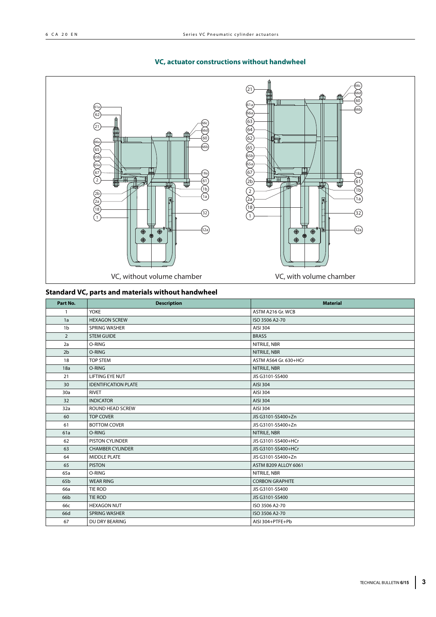## **VC, actuator constructions without handwheel**



## **Standard VC, parts and materials without handwheel**

| Part No.        | <b>Description</b>          | <b>Material</b>        |
|-----------------|-----------------------------|------------------------|
| $\mathbf{1}$    | <b>YOKE</b>                 | ASTM A216 Gr. WCB      |
| 1a              | <b>HEXAGON SCREW</b>        | ISO 3506 A2-70         |
| 1 <sub>b</sub>  | <b>SPRING WASHER</b>        | AISI 304               |
| $\overline{2}$  | <b>STEM GUIDE</b>           | <b>BRASS</b>           |
| 2a              | O-RING                      | NITRILE, NBR           |
| 2 <sub>b</sub>  | O-RING                      | NITRILE, NBR           |
| 18              | <b>TOP STEM</b>             | ASTM A564 Gr. 630+HCr  |
| 18a             | O-RING                      | NITRILE, NBR           |
| 21              | <b>LIFTING EYE NUT</b>      | JIS G3101-SS400        |
| 30              | <b>IDENTIFICATION PLATE</b> | AISI 304               |
| 30a             | <b>RIVET</b>                | AISI 304               |
| 32              | <b>INDICATOR</b>            | AISI 304               |
| 32a             | ROUND HEAD SCREW            | AISI 304               |
| 60              | <b>TOP COVER</b>            | JIS G3101-SS400+Zn     |
| 61              | <b>BOTTOM COVER</b>         | JIS G3101-SS400+Zn     |
| 61a             | O-RING                      | NITRILE, NBR           |
| 62              | <b>PISTON CYLINDER</b>      | JIS G3101-SS400+HCr    |
| 63              | <b>CHAMBER CYLINDER</b>     | JIS G3101-SS400+HCr    |
| 64              | <b>MIDDLE PLATE</b>         | JIS G3101-SS400+Zn     |
| 65              | <b>PISTON</b>               | ASTM B209 ALLOY 6061   |
| 65a             | O-RING                      | NITRILE, NBR           |
| 65 <sub>b</sub> | <b>WEAR RING</b>            | <b>CORBON GRAPHITE</b> |
| 66a             | <b>TIE ROD</b>              | JIS G3101-SS400        |
| 66b             | <b>TIE ROD</b>              | JIS G3101-SS400        |
| 66с             | <b>HEXAGON NUT</b>          | ISO 3506 A2-70         |
| 66d             | <b>SPRING WASHER</b>        | ISO 3506 A2-70         |
| 67              | DU DRY BEARING              | AISI 304+PTFE+Pb       |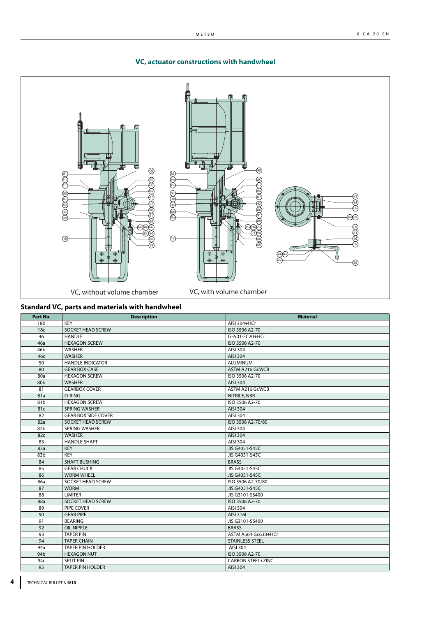

## **VC, actuator constructions with handwheel**

**Standard VC, parts and materials with handwheel** 

| Part No.        | <b>Description</b>         | <b>Material</b>          |
|-----------------|----------------------------|--------------------------|
| 18 <sub>b</sub> | <b>KEY</b>                 | AISI 304+HCr             |
| 18 <sub>c</sub> | <b>SOCKET HEAD SCREW</b>   | ISO 3506 A2-70           |
| 46              | <b>HANDLE</b>              | G5501-FC20+HCr           |
| 46a             | <b>HEXAGON SCREW</b>       | ISO 3506 A2-70           |
| 46 <sub>b</sub> | <b>WASHER</b>              | AISI 304                 |
| 46с             | <b>WASHER</b>              | AISI 304                 |
| 50              | <b>HANDLE INDICATOR</b>    | <b>ALUMINUM</b>          |
| 80              | <b>GEAR BOX CASE</b>       | ASTM A216 Gr.WCB         |
| 80a             | <b>HEXAGON SCREW</b>       | ISO 3506 A2-70           |
| 80 <sub>b</sub> | <b>WASHER</b>              | AISI 304                 |
| 81              | <b>GEARBOX COVER</b>       | ASTM A216 Gr. WCB        |
| 81a             | O-RING                     | NITRILE, NBR             |
| 81b             | <b>HEXAGON SCREW</b>       | ISO 3506 A2-70           |
| 81c             | <b>SPRING WASHER</b>       | AISI 304                 |
| 82              | <b>GEAR BOX SIDE COVER</b> | AISI 304                 |
| 82a             | SOCKET HEAD SCREW          | ISO 3506 A2-70/80        |
| 82b             | SPRING WASHER              | AISI 304                 |
| 82c             | <b>WASHER</b>              | AISI 304                 |
| 83              | <b>HANDLE SHAFT</b>        | AISI 304                 |
| 83a             | <b>KEY</b>                 | JIS G4051-S45C           |
| 83b             | <b>KEY</b>                 | JIS G4051-S45C           |
| 84              | <b>SHAFT BUSHING</b>       | <b>BRASS</b>             |
| 85              | <b>GEAR CHUCK</b>          | JIS G4051-S45C           |
| 86              | <b>WORM WHEEL</b>          | JIS G4051-S45C           |
| 86a             | <b>SOCKET HEAD SCREW</b>   | ISO 3506 A2-70/80        |
| 87              | <b>WORM</b>                | JIS G4051-S45C           |
| 88              | <b>LIMITER</b>             | JIS G3101-SS400          |
| 88a             | SOCKET HEAD SCREW          | ISO 3506 A2-70           |
| 89              | PIPE COVER                 | AISI 304                 |
| 90              | <b>GEAR PIPE</b>           | AISI 316L                |
| 91              | <b>BEARING</b>             | JIS G3101-SS400          |
| 92              | <b>OIL NIPPLE</b>          | <b>BRASS</b>             |
| 93              | <b>TAPER PIN</b>           | ASTM A564 Gr.630+HCr     |
| 94              | <b>TAPER CHAIN</b>         | <b>STAINLESS STEEL</b>   |
| 94a             | <b>TAPER PIN HOLDER</b>    | AISI 304                 |
| 94b             | <b>HEXAGON NUT</b>         | ISO 3506 A2-70           |
| 94c             | <b>SPLIT PIN</b>           | <b>CARBON STEEL+ZINC</b> |
| 95              | <b>TAPER PIN HOLDER</b>    | AISI 304                 |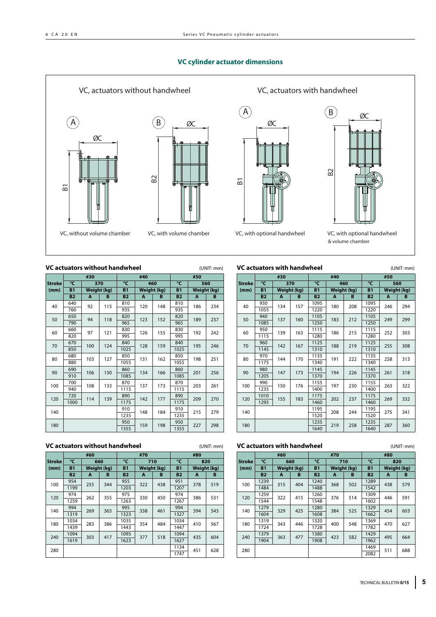## **VC cylinder actuator dimensions**



#### **VC actuators without handwheel** (UNIT: mm)

|               |           | #30                |     |           | #40                |     |           | #50         |     |  |
|---------------|-----------|--------------------|-----|-----------|--------------------|-----|-----------|-------------|-----|--|
| <b>Stroke</b> | °C        |                    | 370 | °C        |                    | 460 | °C        |             | 560 |  |
| (mm)          | <b>B1</b> | <b>Weight (kg)</b> |     | <b>B1</b> | <b>Weight (kg)</b> |     | <b>B1</b> | Weight (kg) |     |  |
|               | <b>B2</b> | A                  | B   | <b>B2</b> | A                  | B   | <b>B2</b> | A           | B   |  |
| 40            | 640       |                    | 115 | 810       |                    | 148 | 810       | 186         | 234 |  |
|               | 760       | 92                 |     | 935       | 120                |     | 935       |             |     |  |
|               | 650       |                    | 118 | 820       |                    |     | 820       |             |     |  |
| 50            | 790       | 94                 |     | 965       | 123                | 152 | 965       | 189         | 237 |  |
|               | 660       |                    |     | 830       |                    |     | 830       |             |     |  |
| 60            | 820       | 97                 | 121 | 995       | 126                | 155 | 995       | 192         | 242 |  |
|               | 670       |                    |     | 124       | 840                |     |           | 840         |     |  |
| 70            | 850       | 100                |     | 1025      | 128                | 159 | 1025      | 195         | 246 |  |
|               | 680       | 103                |     | 850       |                    |     | 850       | 198         | 251 |  |
| 80            | 880       |                    | 127 | 1055      | 131                | 162 | 1055      |             |     |  |
|               | 690       |                    | 130 | 860       | 134                |     | 860       |             | 256 |  |
| 90            | 910       | 106                |     | 1085      |                    | 166 | 1085      | 201         |     |  |
|               | 700       |                    |     | 870       |                    |     | 870       |             |     |  |
| 100           | 940       | 108                | 133 | 1115      | 137                | 173 | 1115      | 203         | 261 |  |
|               | 720       |                    |     | 890       |                    |     | 890       |             |     |  |
| 120           | 1000      | 114                | 139 | 1175      | 142                | 177 | 1175      | 209         | 270 |  |
| 140           |           |                    |     | 910       |                    | 184 | 910       |             |     |  |
|               |           |                    |     | 1235      | 148                |     | 1235      | 215         | 279 |  |
|               |           |                    |     |           |                    |     | 950       |             | 298 |  |
| 180           |           |                    |     | 1355      | 159                | 198 | 1355      | 227         |     |  |

## **VC actuators with handwheel** (UNIT: mm)

|               | VC actuators with handwheel<br>(UNII:mm) |     |                     |           |                    |      |           |             |     |  |  |  |  |
|---------------|------------------------------------------|-----|---------------------|-----------|--------------------|------|-----------|-------------|-----|--|--|--|--|
|               |                                          | #30 |                     |           | #40                |      |           | #50         |     |  |  |  |  |
| <b>Stroke</b> | °C                                       |     | 370                 | °C        |                    | 460  | °C        | 560         |     |  |  |  |  |
| (mm)          | <b>B1</b>                                |     | <b>Weight (kg)</b>  | <b>B1</b> | <b>Weight (kg)</b> |      | <b>B1</b> | Weight (kg) |     |  |  |  |  |
|               | <b>B2</b>                                | A   | B                   | <b>B2</b> | A                  | B    | <b>B2</b> | A           | B   |  |  |  |  |
| 40            | 930                                      | 134 | 157                 | 1095      | 180                | 208  | 1095      | 246         | 294 |  |  |  |  |
|               | 1055                                     |     |                     | 1220      |                    |      | 1220      |             |     |  |  |  |  |
| 50            | 940                                      | 137 | 160                 | 1105      | 183                | 212  | 1105      | 249         | 299 |  |  |  |  |
|               | 1085                                     |     |                     | 1250      |                    |      | 1250      |             |     |  |  |  |  |
| 60            | 950                                      | 139 | 163                 | 1115      | 186                | 215  | 1115      | 252         | 303 |  |  |  |  |
|               | 1115                                     |     |                     | 1280      |                    |      | 1280      |             |     |  |  |  |  |
| 70            | 960                                      | 142 | 167                 | 1125      | 188                | 219  | 1125      | 255         | 308 |  |  |  |  |
|               | 1145                                     |     |                     | 1310      |                    |      | 1310      |             |     |  |  |  |  |
| 80            | 970                                      | 144 | 1135<br>170<br>1340 | 191       | 222                | 1135 | 258       | 313         |     |  |  |  |  |
|               | 1175                                     |     |                     |           |                    |      | 1340      |             |     |  |  |  |  |
| 90            | 980                                      | 147 | 173                 | 1145      | 194                | 226  | 1145      | 261         | 318 |  |  |  |  |
|               | 1205                                     |     |                     | 1370      |                    |      | 1370      |             |     |  |  |  |  |
| 100           | 990                                      | 150 | 176                 | 1155      | 197                | 230  | 1155      | 263         |     |  |  |  |  |
|               | 1235                                     |     |                     | 1400      |                    |      | 1400      |             | 322 |  |  |  |  |
| 120           | 1010                                     | 155 | 183                 | 1175      | 202                | 237  | 1175      | 269         |     |  |  |  |  |
|               | 1295                                     |     |                     | 1460      |                    |      | 1460      |             | 332 |  |  |  |  |
| 140           |                                          |     |                     | 1195      | 208                | 244  | 1195      | 275         | 341 |  |  |  |  |
|               |                                          |     |                     | 1520      |                    |      | 1520      |             |     |  |  |  |  |
| 180           |                                          |     |                     | 1235      | 219                | 258  | 1235      | 287         | 360 |  |  |  |  |
|               |                                          |     |                     | 1640      |                    |      | 1640      |             |     |  |  |  |  |

## **VC actuators without handwheel**

| (UNIT: mm |  |
|-----------|--|
|           |  |

|               |           | #60         |     |           | #70         |     |           | #80         |     |
|---------------|-----------|-------------|-----|-----------|-------------|-----|-----------|-------------|-----|
| <b>Stroke</b> | °C        |             | 660 | °C        | 710         |     |           | 820         |     |
| (mm)          | <b>B1</b> | Weight (kg) |     | <b>B1</b> | Weight (kg) |     | <b>B1</b> | Weight (kg) |     |
|               | <b>B2</b> | A           | B   | <b>B2</b> | A           | B   | <b>B2</b> | A           | B   |
|               | 954       | 255         |     | 955       | 322         | 438 | 951       | 378         | 519 |
| 100           | 1199      |             | 344 | 1203      |             |     | 1207      |             |     |
| 120           | 974       | 262         | 355 | 975       | 330         | 450 | 974       | 386         | 531 |
|               | 1259      |             |     | 1263      |             |     | 1267      |             |     |
| 140           | 994       | 269         | 365 | 995       | 338         | 461 | 994       | 394         | 543 |
|               | 1319      |             |     | 1323      |             |     | 1327      |             |     |
| 180           | 1034      | 283         |     | 1035      | 354         | 484 | 1034      | 410         |     |
|               | 1439      |             | 386 | 1443      |             |     | 1447      |             | 567 |
| 240           | 1094      | 303         |     | 1095      | 377         | 518 | 1094      | 435         | 604 |
|               | 1619      |             | 417 | 1623      |             |     | 1627      |             |     |
| 280           |           |             |     |           |             |     |           | 451         | 628 |
|               |           |             |     |           |             |     | 1747      |             |     |

#### **VC actuators with handwheel** (UNIT: mm)

|        |           | , с астанал з місіі папаміісеі |     | 101111.111111 |             |      |           |             |      |     |     |
|--------|-----------|--------------------------------|-----|---------------|-------------|------|-----------|-------------|------|-----|-----|
|        |           | #60                            |     |               | #70         |      |           | #80         |      |     |     |
| Stroke | °C        | 660                            |     | °C            | 710         |      | °C        | 820         |      |     |     |
| (mm)   | <b>B1</b> | Weight (kg)                    |     | <b>B1</b>     | Weight (kg) |      | <b>B1</b> | Weight (kg) |      |     |     |
|        | <b>B2</b> | A                              | B   | <b>B2</b>     | A           | B    | <b>B2</b> | A           | B    |     |     |
|        | 1239      | 315                            |     | 1240          | 368         | 502  | 1289      | 438         | 579  |     |     |
| 100    | 1484      |                                | 404 | 1488          |             |      | 1542      |             |      |     |     |
| 120    | 1259      | 322                            |     |               | 415         | 1260 | 376       | 514         | 1309 | 446 | 591 |
|        | 1544      |                                |     | 1548          |             |      | 1602      |             |      |     |     |
| 140    | 1279      | 329                            | 425 | 1280          | 384         | 525  | 1329      | 454         | 603  |     |     |
|        | 1604      |                                |     | 1608          |             |      | 1662      |             |      |     |     |
| 180    | 1319      | 343                            |     | 1320          | 400         | 548  | 1369      | 470         |      |     |     |
|        | 1724      |                                | 446 | 1728          |             |      | 1782      |             | 627  |     |     |
| 240    | 1379      | 363                            | 477 | 1380          | 423         | 582  | 1429      | 495         |      |     |     |
|        | 1904      |                                |     | 1908          |             |      | 1962      |             | 664  |     |     |
| 280    |           |                                |     |               |             |      | 1469      | 511         | 688  |     |     |
|        |           |                                |     |               |             |      | 2082      |             |      |     |     |